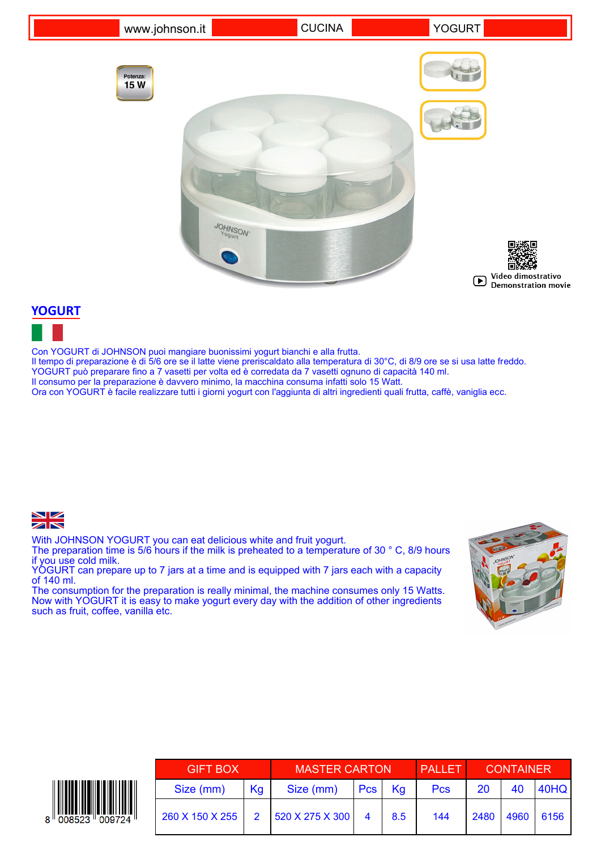

### **YOGURT**



Con YOGURT di JOHNSON puoi mangiare buonissimi yogurt bianchi e alla frutta. Il tempo di preparazione è di 5/6 ore se il latte viene preriscaldato alla temperatura di 30°C, di 8/9 ore se si usa latte freddo. YOGURT può preparare fino a 7 vasetti per volta ed è corredata da 7 vasetti ognuno di capacità 140 ml. Il consumo per la preparazione è davvero minimo, la macchina consuma infatti solo 15 Watt. Ora con YOGURT è facile realizzare tutti i giorni yogurt con l'aggiunta di altri ingredienti quali frutta, caffè, vaniglia ecc.



With JOHNSON YOGURT you can eat delicious white and fruit yogurt.

The preparation time is 5/6 hours if the milk is preheated to a temperature of 30 ° C, 8/9 hours if you use cold milk.

YOGURT can prepare up to 7 jars at a time and is equipped with 7 jars each with a capacity of 140 ml.

The consumption for the preparation is really minimal, the machine consumes only 15 Watts. Now with YOGURT it is easy to make yogurt every day with the addition of other ingredients such as fruit, coffee, vanilla etc.



| <b>GIFT BOX</b> |    | <b>MASTER CARTON</b>           |            |     | <b>PALLET</b> | <b>CONTAINER</b> |      |      |
|-----------------|----|--------------------------------|------------|-----|---------------|------------------|------|------|
| Size (mm)       | Kg | Size (mm)                      | <b>Pcs</b> | Ka  | <b>Pcs</b>    | <b>20</b>        | 40   | 40HQ |
| 260 X 150 X 255 |    | $1520 \times 275 \times 300$ 4 |            | 8.5 | 144           | 2480             | 4960 | 6156 |